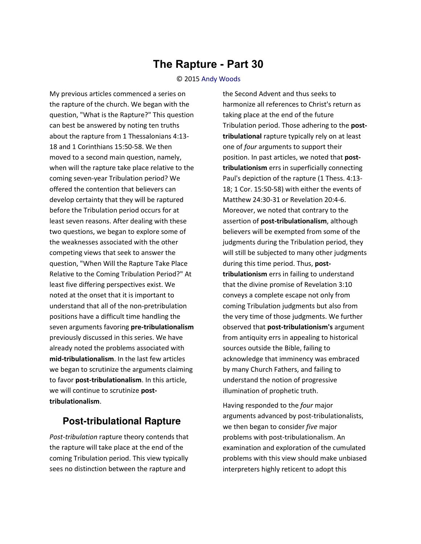## **The Rapture - Part 30**

## © 2015 [Andy Woods](http://www.spiritandtruth.org/id/aw.htm)

My previous articles commenced a series on the rapture of the church. We began with the question, "What is the Rapture?" This question can best be answered by noting ten truths about the rapture from 1 Thessalonians 4:13- 18 and 1 Corinthians 15:50-58. We then moved to a second main question, namely, when will the rapture take place relative to the coming seven-year Tribulation period? We offered the contention that believers can develop certainty that they will be raptured before the Tribulation period occurs for at least seven reasons. After dealing with these two questions, we began to explore some of the weaknesses associated with the other competing views that seek to answer the question, "When Will the Rapture Take Place Relative to the Coming Tribulation Period?" At least five differing perspectives exist. We noted at the onset that it is important to understand that all of the non-pretribulation positions have a difficult time handling the seven arguments favoring **pre-tribulationalism** previously discussed in this series. We have already noted the problems associated with **mid-tribulationalism**. In the last few articles we began to scrutinize the arguments claiming to favor **post-tribulationalism**. In this article, we will continue to scrutinize **posttribulationalism**.

## **Post-tribulational Rapture**

*Post-tribulation* rapture theory contends that the rapture will take place at the end of the coming Tribulation period. This view typically sees no distinction between the rapture and

the Second Advent and thus seeks to harmonize all references to Christ's return as taking place at the end of the future Tribulation period. Those adhering to the **posttribulational** rapture typically rely on at least one of *four* arguments to support their position. In past articles, we noted that **posttribulationism** errs in superficially connecting Paul's depiction of the rapture (1 Thess. 4:13- 18; 1 Cor. 15:50-58) with either the events of Matthew 24:30-31 or Revelation 20:4-6. Moreover, we noted that contrary to the assertion of **post-tribulationalism**, although believers will be exempted from some of the judgments during the Tribulation period, they will still be subjected to many other judgments during this time period. Thus, **posttribulationism** errs in failing to understand that the divine promise of Revelation 3:10 conveys a complete escape not only from coming Tribulation judgments but also from the very time of those judgments. We further observed that **post-tribulationism's** argument from antiquity errs in appealing to historical sources outside the Bible, failing to acknowledge that imminency was embraced by many Church Fathers, and failing to understand the notion of progressive illumination of prophetic truth.

Having responded to the *four* major arguments advanced by post-tribulationalists, we then began to consider *five* major problems with post-tribulationalism. An examination and exploration of the cumulated problems with this view should make unbiased interpreters highly reticent to adopt this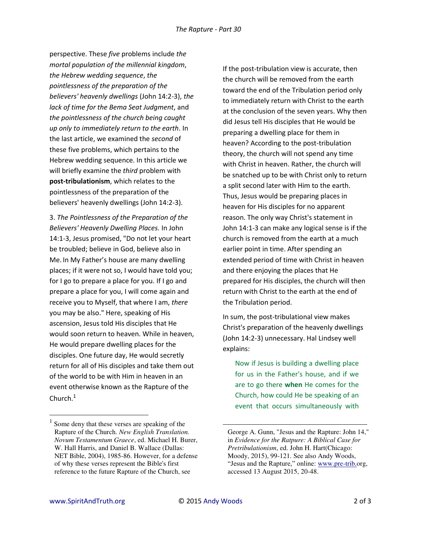perspective. These *five* problems include *the mortal population of the millennial kingdom*, *the Hebrew wedding sequence*, *the pointlessness of the preparation of the believers' heavenly dwellings* (John 14:2-3), *the lack of time for the Bema Seat Judgment*, and *the pointlessness of the church being caught up only to immediately return to the earth*. In the last article, we examined the *second* of these five problems, which pertains to the Hebrew wedding sequence. In this article we will briefly examine the *third* problem with **post-tribulationism**, which relates to the pointlessness of the preparation of the believers' heavenly dwellings (John 14:2-3).

3. *The Pointlessness of the Preparation of the Believers' Heavenly Dwelling Places.* In John 14:1-3, Jesus promised, "Do not let your heart be troubled; believe in God, believe also in Me. In My Father's house are many dwelling places; if it were not so, I would have told you; for I go to prepare a place for you. If I go and prepare a place for you, I will come again and receive you to Myself, that where I am, *there* you may be also." Here, speaking of His ascension, Jesus told His disciples that He would soon return to heaven. While in heaven, He would prepare dwelling places for the disciples. One future day, He would secretly return for all of His disciples and take them out of the world to be with Him in heaven in an event otherwise known as the Rapture of the Church. $<sup>1</sup>$ </sup>

If the post-tribulation view is accurate, then the church will be removed from the earth toward the end of the Tribulation period only to immediately return with Christ to the earth at the conclusion of the seven years. Why then did Jesus tell His disciples that He would be preparing a dwelling place for them in heaven? According to the post-tribulation theory, the church will not spend any time with Christ in heaven. Rather, the church will be snatched up to be with Christ only to return a split second later with Him to the earth. Thus, Jesus would be preparing places in heaven for His disciples for no apparent reason. The only way Christ's statement in John 14:1-3 can make any logical sense is if the church is removed from the earth at a much earlier point in time. After spending an extended period of time with Christ in heaven and there enjoying the places that He prepared for His disciples, the church will then return with Christ to the earth at the end of the Tribulation period.

In sum, the post-tribulational view makes Christ's preparation of the heavenly dwellings (John 14:2-3) unnecessary. Hal Lindsey well explains:

Now if Jesus is building a dwelling place for us in the Father's house, and if we are to go there **when** He comes for the Church, how could He be speaking of an event that occurs simultaneously with

 $\overline{a}$ 

l

<sup>&</sup>lt;sup>1</sup> Some deny that these verses are speaking of the Rapture of the Church. *New English Translation. Novum Testamentum Graece*, ed. Michael H. Burer, W. Hall Harris, and Daniel B. Wallace (Dallas: NET Bible, 2004), 1985-86. However, for a defense of why these verses represent the Bible's first reference to the future Rapture of the Church, see

George A. Gunn, "Jesus and the Rapture: John 14," in *Evidence for the Ratpure: A Biblical Case for Pretribulationism*, ed. John H. Hart(Chicago: Moody, 2015), 99-121. See also Andy Woods, "Jesus and the Rapture," online: [www.pre-trib.o](http://www.soniclight.com/)rg, accessed 13 August 2015, 20-48.